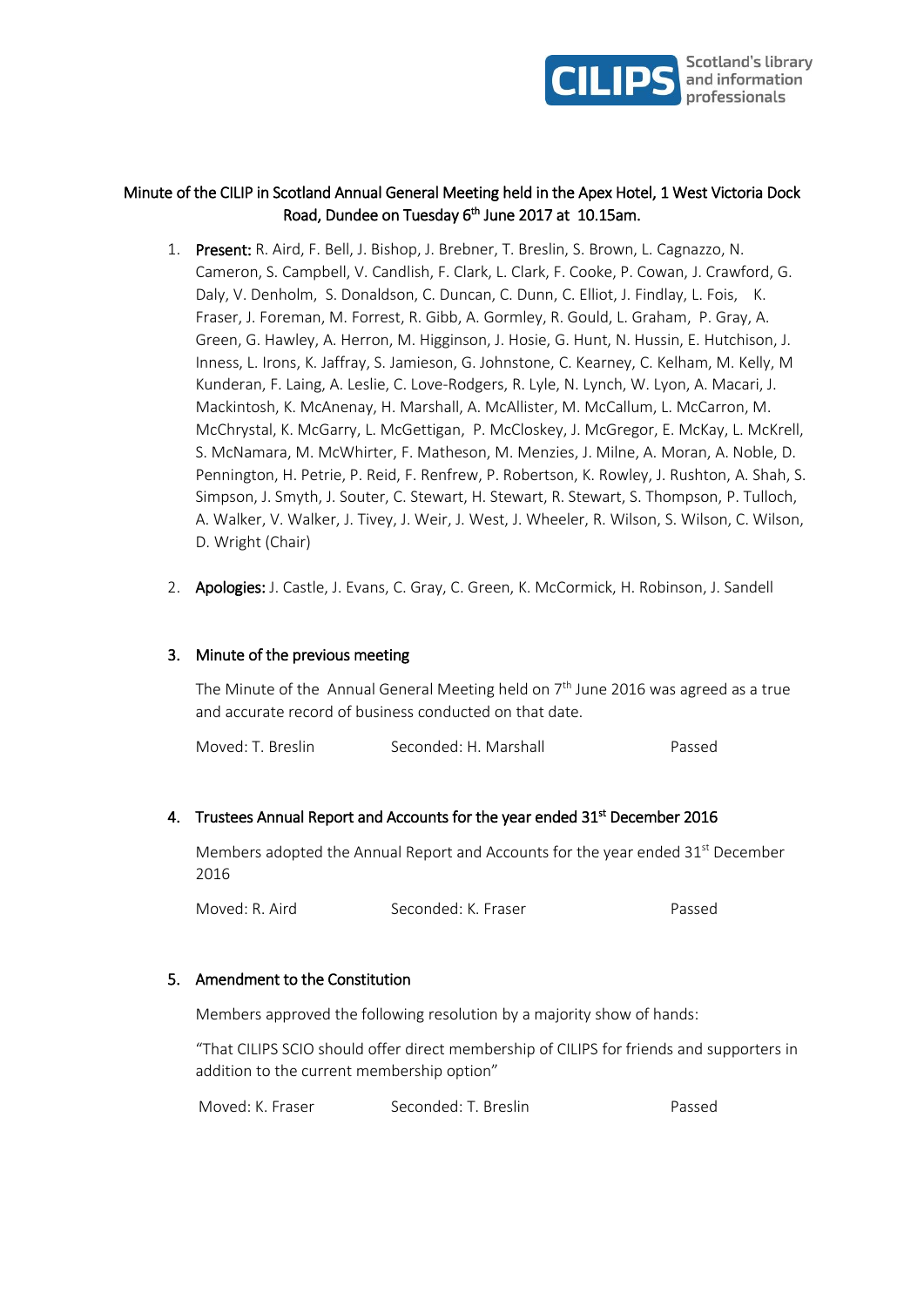

# Minute of the CILIP in Scotland Annual General Meeting held in the Apex Hotel, 1 West Victoria Dock Road, Dundee on Tuesday 6<sup>th</sup> June 2017 at 10.15am.

- 1. Present: R. Aird, F. Bell, J. Bishop, J. Brebner, T. Breslin, S. Brown, L. Cagnazzo, N. Cameron, S. Campbell, V. Candlish, F. Clark, L. Clark, F. Cooke, P. Cowan, J. Crawford, G. Daly, V. Denholm, S. Donaldson, C. Duncan, C. Dunn, C. Elliot, J. Findlay, L. Fois, K. Fraser, J. Foreman, M. Forrest, R. Gibb, A. Gormley, R. Gould, L. Graham, P. Gray, A. Green, G. Hawley, A. Herron, M. Higginson, J. Hosie, G. Hunt, N. Hussin, E. Hutchison, J. Inness, L. Irons, K. Jaffray, S. Jamieson, G. Johnstone, C. Kearney, C. Kelham, M. Kelly, M Kunderan, F. Laing, A. Leslie, C. Love-Rodgers, R. Lyle, N. Lynch, W. Lyon, A. Macari, J. Mackintosh, K. McAnenay, H. Marshall, A. McAllister, M. McCallum, L. McCarron, M. McChrystal, K. McGarry, L. McGettigan, P. McCloskey, J. McGregor, E. McKay, L. McKrell, S. McNamara, M. McWhirter, F. Matheson, M. Menzies, J. Milne, A. Moran, A. Noble, D. Pennington, H. Petrie, P. Reid, F. Renfrew, P. Robertson, K. Rowley, J. Rushton, A. Shah, S. Simpson, J. Smyth, J. Souter, C. Stewart, H. Stewart, R. Stewart, S. Thompson, P. Tulloch, A. Walker, V. Walker, J. Tivey, J. Weir, J. West, J. Wheeler, R. Wilson, S. Wilson, C. Wilson, D. Wright (Chair)
- 2. **Apologies:** J. Castle, J. Evans, C. Gray, C. Green, K. McCormick, H. Robinson, J. Sandell

### 3. Minute of the previous meeting

The Minute of the Annual General Meeting held on  $7<sup>th</sup>$  June 2016 was agreed as a true and accurate record of business conducted on that date.

# 4. Trustees Annual Report and Accounts for the year ended  $31<sup>st</sup>$  December 2016

Members adopted the Annual Report and Accounts for the year ended 31<sup>st</sup> December 2016

Moved: R. Aird Seconded: K. Fraser Passed

#### 5. Amendment to the Constitution

Members approved the following resolution by a majority show of hands:

"That CILIPS SCIO should offer direct membership of CILIPS for friends and supporters in addition to the current membership option"

| Moved: K. Fraser | Seconded: T. Breslin | Passed |
|------------------|----------------------|--------|
|------------------|----------------------|--------|